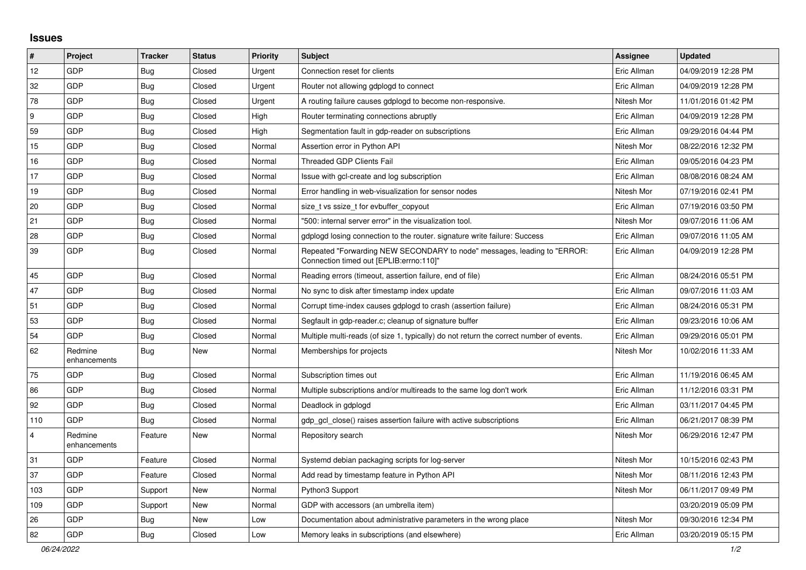## **Issues**

| $\vert$ #      | Project                 | <b>Tracker</b> | <b>Status</b> | <b>Priority</b> | <b>Subject</b>                                                                                                      | <b>Assignee</b> | <b>Updated</b>      |
|----------------|-------------------------|----------------|---------------|-----------------|---------------------------------------------------------------------------------------------------------------------|-----------------|---------------------|
| 12             | GDP                     | Bug            | Closed        | Urgent          | Connection reset for clients                                                                                        | Eric Allman     | 04/09/2019 12:28 PM |
| 32             | GDP                     | Bug            | Closed        | Urgent          | Router not allowing gdplogd to connect                                                                              | Eric Allman     | 04/09/2019 12:28 PM |
| 78             | GDP                     | <b>Bug</b>     | Closed        | Urgent          | A routing failure causes gdplogd to become non-responsive.                                                          | Nitesh Mor      | 11/01/2016 01:42 PM |
| 9              | GDP                     | Bug            | Closed        | High            | Router terminating connections abruptly                                                                             | Eric Allman     | 04/09/2019 12:28 PM |
| 59             | GDP                     | Bug            | Closed        | High            | Segmentation fault in gdp-reader on subscriptions                                                                   | Eric Allman     | 09/29/2016 04:44 PM |
| 15             | GDP                     | Bug            | Closed        | Normal          | Assertion error in Python API                                                                                       | Nitesh Mor      | 08/22/2016 12:32 PM |
| 16             | GDP                     | <b>Bug</b>     | Closed        | Normal          | <b>Threaded GDP Clients Fail</b>                                                                                    | Eric Allman     | 09/05/2016 04:23 PM |
| 17             | GDP                     | <b>Bug</b>     | Closed        | Normal          | Issue with gcl-create and log subscription                                                                          | Eric Allman     | 08/08/2016 08:24 AM |
| 19             | GDP                     | <b>Bug</b>     | Closed        | Normal          | Error handling in web-visualization for sensor nodes                                                                | Nitesh Mor      | 07/19/2016 02:41 PM |
| 20             | GDP                     | <b>Bug</b>     | Closed        | Normal          | size_t vs ssize_t for evbuffer_copyout                                                                              | Eric Allman     | 07/19/2016 03:50 PM |
| 21             | GDP                     | <b>Bug</b>     | Closed        | Normal          | '500: internal server error" in the visualization tool.                                                             | Nitesh Mor      | 09/07/2016 11:06 AM |
| 28             | GDP                     | Bug            | Closed        | Normal          | gdplogd losing connection to the router. signature write failure: Success                                           | Eric Allman     | 09/07/2016 11:05 AM |
| 39             | GDP                     | Bug            | Closed        | Normal          | Repeated "Forwarding NEW SECONDARY to node" messages, leading to "ERROR:<br>Connection timed out [EPLIB:errno:110]" | Eric Allman     | 04/09/2019 12:28 PM |
| 45             | GDP                     | <b>Bug</b>     | Closed        | Normal          | Reading errors (timeout, assertion failure, end of file)                                                            | Eric Allman     | 08/24/2016 05:51 PM |
| 47             | GDP                     | <b>Bug</b>     | Closed        | Normal          | No sync to disk after timestamp index update                                                                        | Eric Allman     | 09/07/2016 11:03 AM |
| 51             | GDP                     | Bug            | Closed        | Normal          | Corrupt time-index causes gdplogd to crash (assertion failure)                                                      | Eric Allman     | 08/24/2016 05:31 PM |
| 53             | GDP                     | Bug            | Closed        | Normal          | Segfault in gdp-reader.c; cleanup of signature buffer                                                               | Eric Allman     | 09/23/2016 10:06 AM |
| 54             | GDP                     | Bug            | Closed        | Normal          | Multiple multi-reads (of size 1, typically) do not return the correct number of events.                             | Eric Allman     | 09/29/2016 05:01 PM |
| 62             | Redmine<br>enhancements | Bug            | New           | Normal          | Memberships for projects                                                                                            | Nitesh Mor      | 10/02/2016 11:33 AM |
| 75             | GDP                     | Bug            | Closed        | Normal          | Subscription times out                                                                                              | Eric Allman     | 11/19/2016 06:45 AM |
| 86             | GDP                     | <b>Bug</b>     | Closed        | Normal          | Multiple subscriptions and/or multireads to the same log don't work                                                 | Eric Allman     | 11/12/2016 03:31 PM |
| 92             | GDP                     | Bug            | Closed        | Normal          | Deadlock in gdplogd                                                                                                 | Eric Allman     | 03/11/2017 04:45 PM |
| 110            | GDP                     | Bug            | Closed        | Normal          | gdp gcl close() raises assertion failure with active subscriptions                                                  | Eric Allman     | 06/21/2017 08:39 PM |
| $\overline{4}$ | Redmine<br>enhancements | Feature        | New           | Normal          | Repository search                                                                                                   | Nitesh Mor      | 06/29/2016 12:47 PM |
| 31             | GDP                     | Feature        | Closed        | Normal          | Systemd debian packaging scripts for log-server                                                                     | Nitesh Mor      | 10/15/2016 02:43 PM |
| 37             | GDP                     | Feature        | Closed        | Normal          | Add read by timestamp feature in Python API                                                                         | Nitesh Mor      | 08/11/2016 12:43 PM |
| 103            | GDP                     | Support        | New           | Normal          | Python3 Support                                                                                                     | Nitesh Mor      | 06/11/2017 09:49 PM |
| 109            | GDP                     | Support        | New           | Normal          | GDP with accessors (an umbrella item)                                                                               |                 | 03/20/2019 05:09 PM |
| 26             | GDP                     | Bug            | New           | Low             | Documentation about administrative parameters in the wrong place                                                    | Nitesh Mor      | 09/30/2016 12:34 PM |
| 82             | GDP                     | Bug            | Closed        | Low             | Memory leaks in subscriptions (and elsewhere)                                                                       | Eric Allman     | 03/20/2019 05:15 PM |